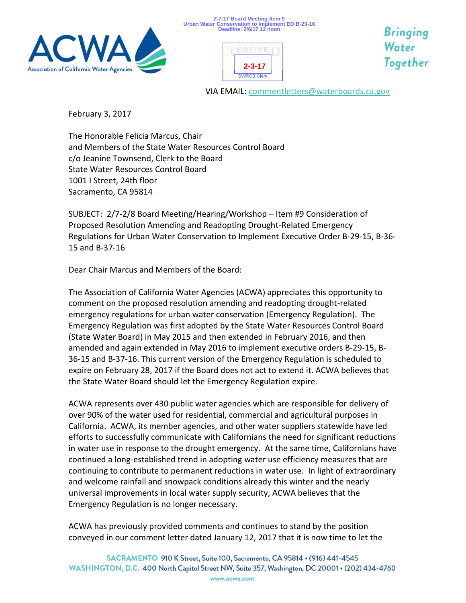





Bringing Water Together

VIA EMAIL[: commentletters@waterboards.ca.gov](mailto:commentletters@waterboards.ca.gov)

February 3, 2017

The Honorable Felicia Marcus, Chair and Members of the State Water Resources Control Board c/o Jeanine Townsend, Clerk to the Board State Water Resources Control Board 1001 I Street, 24th floor Sacramento, CA 95814

SUBJECT: 2/7-2/8 Board Meeting/Hearing/Workshop – Item #9 Consideration of Proposed Resolution Amending and Readopting Drought-Related Emergency Regulations for Urban Water Conservation to Implement Executive Order B-29-15, B-36- 15 and B-37-16

Dear Chair Marcus and Members of the Board:

The Association of California Water Agencies (ACWA) appreciates this opportunity to comment on the proposed resolution amending and readopting drought-related emergency regulations for urban water conservation (Emergency Regulation). The Emergency Regulation was first adopted by the State Water Resources Control Board (State Water Board) in May 2015 and then extended in February 2016, and then amended and again extended in May 2016 to implement executive orders B-29-15, B-36-15 and B-37-16. This current version of the Emergency Regulation is scheduled to expire on February 28, 2017 if the Board does not act to extend it. ACWA believes that the State Water Board should let the Emergency Regulation expire.

ACWA represents over 430 public water agencies which are responsible for delivery of over 90% of the water used for residential, commercial and agricultural purposes in California. ACWA, its member agencies, and other water suppliers statewide have led efforts to successfully communicate with Californians the need for significant reductions in water use in response to the drought emergency. At the same time, Californians have continued a long-established trend in adopting water use efficiency measures that are continuing to contribute to permanent reductions in water use. In light of extraordinary and welcome rainfall and snowpack conditions already this winter and the nearly universal improvements in local water supply security, ACWA believes that the Emergency Regulation is no longer necessary.

ACWA has previously provided comments and continues to stand by the position conveyed in our comment letter dated January 12, 2017 that it is now time to let the